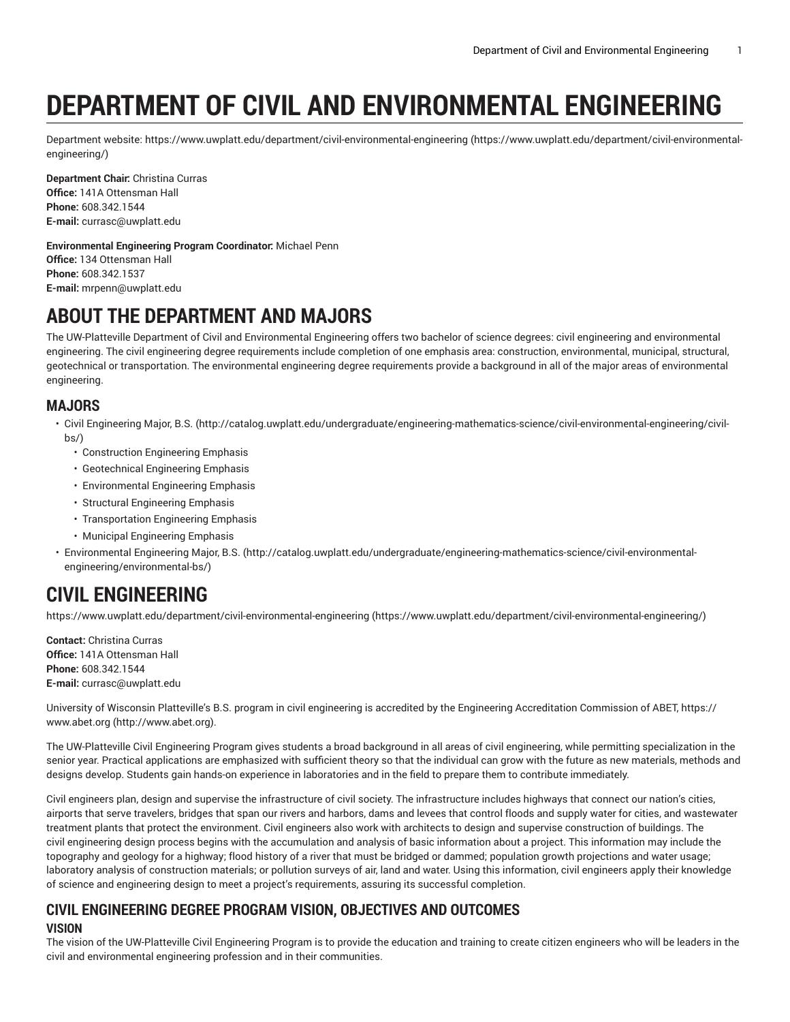# **DEPARTMENT OF CIVIL AND ENVIRONMENTAL ENGINEERING**

Department website: [https://www.uwplatt.edu/department/civil-environmental-engineering](https://www.uwplatt.edu/department/civil-environmental-engineering/) ([https://www.uwplatt.edu/department/civil-environmental](https://www.uwplatt.edu/department/civil-environmental-engineering/)[engineering/](https://www.uwplatt.edu/department/civil-environmental-engineering/))

**Department Chair:** Christina Curras **Office:** 141A Ottensman Hall **Phone:** 608.342.1544 **E-mail:** [currasc@uwplatt.edu](mailto:currasc@uwplatt.edu)

**Environmental Engineering Program Coordinator:** Michael Penn **Office:** 134 Ottensman Hall **Phone:** 608.342.1537 **E-mail:** [mrpenn@uwplatt.edu](mailto:mrpenn@uwplatt.edu)

# **ABOUT THE DEPARTMENT AND MAJORS**

The UW-Platteville Department of Civil and Environmental Engineering offers two bachelor of science degrees: civil engineering and environmental engineering. The civil engineering degree requirements include completion of one emphasis area: construction, environmental, municipal, structural, geotechnical or transportation. The environmental engineering degree requirements provide a background in all of the major areas of environmental engineering.

### **MAJORS**

- Civil [Engineering](http://catalog.uwplatt.edu/undergraduate/engineering-mathematics-science/civil-environmental-engineering/civil-bs/) Major, B.S. [\(http://catalog.uwplatt.edu/undergraduate/engineering-mathematics-science/civil-environmental-engineering/civil](http://catalog.uwplatt.edu/undergraduate/engineering-mathematics-science/civil-environmental-engineering/civil-bs/) $hs()$ 
	- Construction Engineering Emphasis
	- Geotechnical Engineering Emphasis
	- Environmental Engineering Emphasis
	- Structural Engineering Emphasis
	- Transportation Engineering Emphasis
	- Municipal Engineering Emphasis
- [Environmental](http://catalog.uwplatt.edu/undergraduate/engineering-mathematics-science/civil-environmental-engineering/environmental-bs/) Engineering Major, B.S. [\(http://catalog.uwplatt.edu/undergraduate/engineering-mathematics-science/civil-environmental](http://catalog.uwplatt.edu/undergraduate/engineering-mathematics-science/civil-environmental-engineering/environmental-bs/)[engineering/environmental-bs/](http://catalog.uwplatt.edu/undergraduate/engineering-mathematics-science/civil-environmental-engineering/environmental-bs/))

# **CIVIL ENGINEERING**

[https://www.uwplatt.edu/department/civil-environmental-engineering](https://www.uwplatt.edu/department/civil-environmental-engineering/) [\(https://www.uwplatt.edu/department/civil-environmental-engineering/\)](https://www.uwplatt.edu/department/civil-environmental-engineering/)

**Contact:** Christina Curras **Office:** 141A Ottensman Hall **Phone:** 608.342.1544 **E-mail:** [currasc@uwplatt.edu](mailto:currasc@uwplatt.edu)

University of Wisconsin Platteville's B.S. program in civil engineering is accredited by the Engineering Accreditation Commission of ABET, [https://](http://www.abet.org) [www.abet.org \(http://www.abet.org](http://www.abet.org)).

The UW-Platteville Civil Engineering Program gives students a broad background in all areas of civil engineering, while permitting specialization in the senior year. Practical applications are emphasized with sufficient theory so that the individual can grow with the future as new materials, methods and designs develop. Students gain hands-on experience in laboratories and in the field to prepare them to contribute immediately.

Civil engineers plan, design and supervise the infrastructure of civil society. The infrastructure includes highways that connect our nation's cities, airports that serve travelers, bridges that span our rivers and harbors, dams and levees that control floods and supply water for cities, and wastewater treatment plants that protect the environment. Civil engineers also work with architects to design and supervise construction of buildings. The civil engineering design process begins with the accumulation and analysis of basic information about a project. This information may include the topography and geology for a highway; flood history of a river that must be bridged or dammed; population growth projections and water usage; laboratory analysis of construction materials; or pollution surveys of air, land and water. Using this information, civil engineers apply their knowledge of science and engineering design to meet a project's requirements, assuring its successful completion.

### **CIVIL ENGINEERING DEGREE PROGRAM VISION, OBJECTIVES AND OUTCOMES VISION**

The vision of the UW-Platteville Civil Engineering Program is to provide the education and training to create citizen engineers who will be leaders in the civil and environmental engineering profession and in their communities.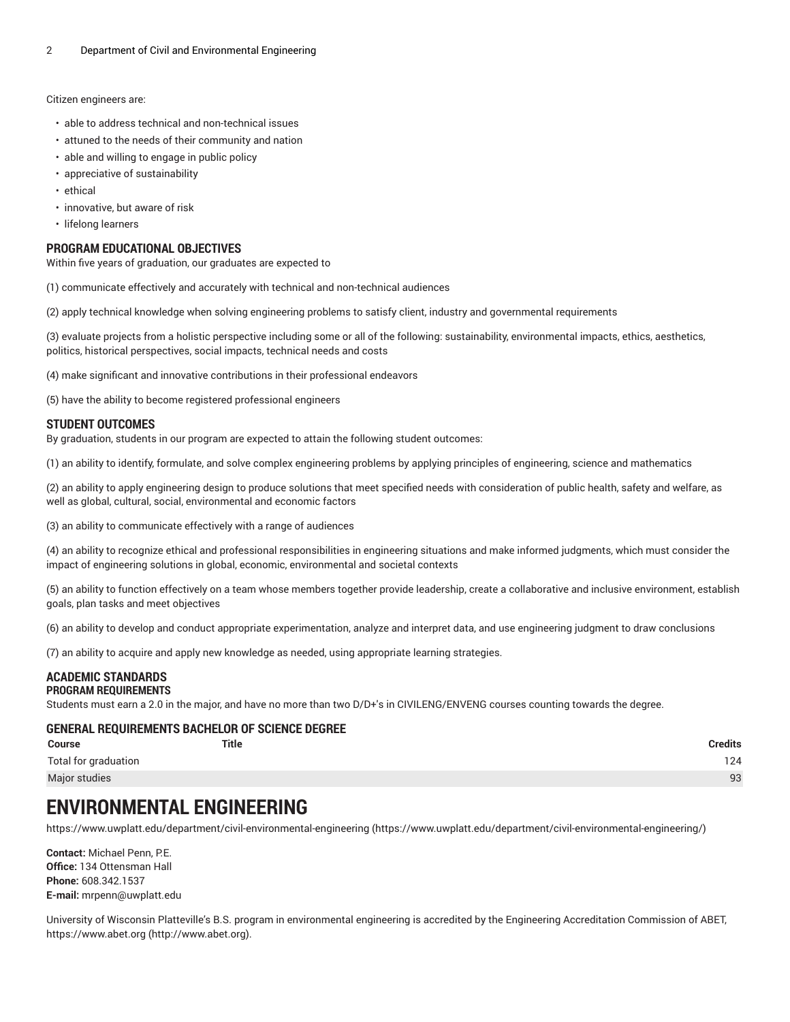Citizen engineers are:

- able to address technical and non-technical issues
- attuned to the needs of their community and nation
- able and willing to engage in public policy
- appreciative of sustainability
- ethical
- innovative, but aware of risk
- lifelong learners

### **PROGRAM EDUCATIONAL OBJECTIVES**

Within five years of graduation, our graduates are expected to

(1) communicate effectively and accurately with technical and non-technical audiences

(2) apply technical knowledge when solving engineering problems to satisfy client, industry and governmental requirements

(3) evaluate projects from a holistic perspective including some or all of the following: sustainability, environmental impacts, ethics, aesthetics, politics, historical perspectives, social impacts, technical needs and costs

(4) make significant and innovative contributions in their professional endeavors

(5) have the ability to become registered professional engineers

### **STUDENT OUTCOMES**

By graduation, students in our program are expected to attain the following student outcomes:

(1) an ability to identify, formulate, and solve complex engineering problems by applying principles of engineering, science and mathematics

(2) an ability to apply engineering design to produce solutions that meet specified needs with consideration of public health, safety and welfare, as well as global, cultural, social, environmental and economic factors

(3) an ability to communicate effectively with a range of audiences

(4) an ability to recognize ethical and professional responsibilities in engineering situations and make informed judgments, which must consider the impact of engineering solutions in global, economic, environmental and societal contexts

(5) an ability to function effectively on a team whose members together provide leadership, create a collaborative and inclusive environment, establish goals, plan tasks and meet objectives

(6) an ability to develop and conduct appropriate experimentation, analyze and interpret data, and use engineering judgment to draw conclusions

(7) an ability to acquire and apply new knowledge as needed, using appropriate learning strategies.

#### **ACADEMIC STANDARDS PROGRAM REQUIREMENTS**

Students must earn a 2.0 in the major, and have no more than two D/D+'s in CIVILENG/ENVENG courses counting towards the degree.

### **GENERAL REQUIREMENTS BACHELOR OF SCIENCE DEGREE**

| <b>Course</b>        | Title | <b>Credits</b> |
|----------------------|-------|----------------|
| Total for graduation |       | 124            |
| Major studies        |       | 93             |

### **ENVIRONMENTAL ENGINEERING**

[https://www.uwplatt.edu/department/civil-environmental-engineering](https://www.uwplatt.edu/department/civil-environmental-engineering/) [\(https://www.uwplatt.edu/department/civil-environmental-engineering/\)](https://www.uwplatt.edu/department/civil-environmental-engineering/)

**Contact:** Michael Penn, P.E. **Office:** 134 Ottensman Hall **Phone:** 608.342.1537 **E-mail:** [mrpenn@uwplatt.edu](mailto:mrpenn@uwplatt.edu)

University of Wisconsin Platteville's B.S. program in environmental engineering is accredited by the Engineering Accreditation Commission of ABET, [https://www.abet.org](http://www.abet.org) ([http://www.abet.org\)](http://www.abet.org).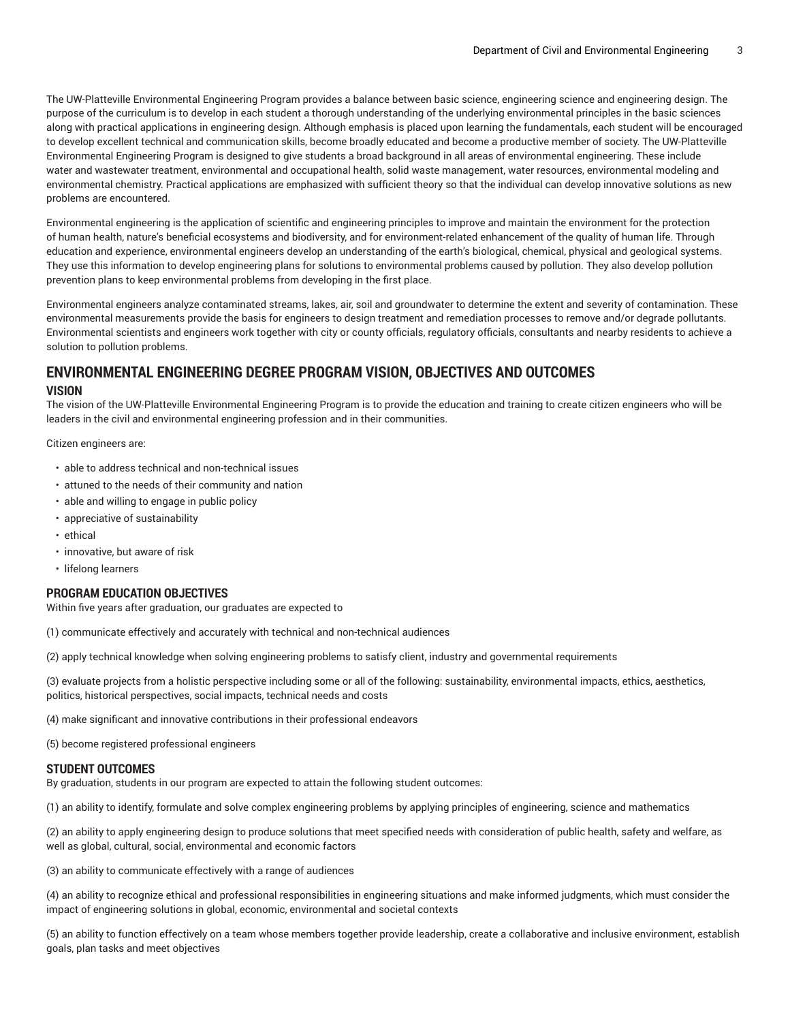The UW-Platteville Environmental Engineering Program provides a balance between basic science, engineering science and engineering design. The purpose of the curriculum is to develop in each student a thorough understanding of the underlying environmental principles in the basic sciences along with practical applications in engineering design. Although emphasis is placed upon learning the fundamentals, each student will be encouraged to develop excellent technical and communication skills, become broadly educated and become a productive member of society. The UW-Platteville Environmental Engineering Program is designed to give students a broad background in all areas of environmental engineering. These include water and wastewater treatment, environmental and occupational health, solid waste management, water resources, environmental modeling and environmental chemistry. Practical applications are emphasized with sufficient theory so that the individual can develop innovative solutions as new problems are encountered.

Environmental engineering is the application of scientific and engineering principles to improve and maintain the environment for the protection of human health, nature's beneficial ecosystems and biodiversity, and for environment-related enhancement of the quality of human life. Through education and experience, environmental engineers develop an understanding of the earth's biological, chemical, physical and geological systems. They use this information to develop engineering plans for solutions to environmental problems caused by pollution. They also develop pollution prevention plans to keep environmental problems from developing in the first place.

Environmental engineers analyze contaminated streams, lakes, air, soil and groundwater to determine the extent and severity of contamination. These environmental measurements provide the basis for engineers to design treatment and remediation processes to remove and/or degrade pollutants. Environmental scientists and engineers work together with city or county officials, regulatory officials, consultants and nearby residents to achieve a solution to pollution problems.

### **ENVIRONMENTAL ENGINEERING DEGREE PROGRAM VISION, OBJECTIVES AND OUTCOMES VISION**

The vision of the UW-Platteville Environmental Engineering Program is to provide the education and training to create citizen engineers who will be leaders in the civil and environmental engineering profession and in their communities.

Citizen engineers are:

- able to address technical and non-technical issues
- attuned to the needs of their community and nation
- able and willing to engage in public policy
- appreciative of sustainability
- ethical
- innovative, but aware of risk
- lifelong learners

### **PROGRAM EDUCATION OBJECTIVES**

Within five years after graduation, our graduates are expected to

(1) communicate effectively and accurately with technical and non-technical audiences

(2) apply technical knowledge when solving engineering problems to satisfy client, industry and governmental requirements

(3) evaluate projects from a holistic perspective including some or all of the following: sustainability, environmental impacts, ethics, aesthetics, politics, historical perspectives, social impacts, technical needs and costs

(4) make significant and innovative contributions in their professional endeavors

(5) become registered professional engineers

### **STUDENT OUTCOMES**

By graduation, students in our program are expected to attain the following student outcomes:

(1) an ability to identify, formulate and solve complex engineering problems by applying principles of engineering, science and mathematics

(2) an ability to apply engineering design to produce solutions that meet specified needs with consideration of public health, safety and welfare, as well as global, cultural, social, environmental and economic factors

(3) an ability to communicate effectively with a range of audiences

(4) an ability to recognize ethical and professional responsibilities in engineering situations and make informed judgments, which must consider the impact of engineering solutions in global, economic, environmental and societal contexts

(5) an ability to function effectively on a team whose members together provide leadership, create a collaborative and inclusive environment, establish goals, plan tasks and meet objectives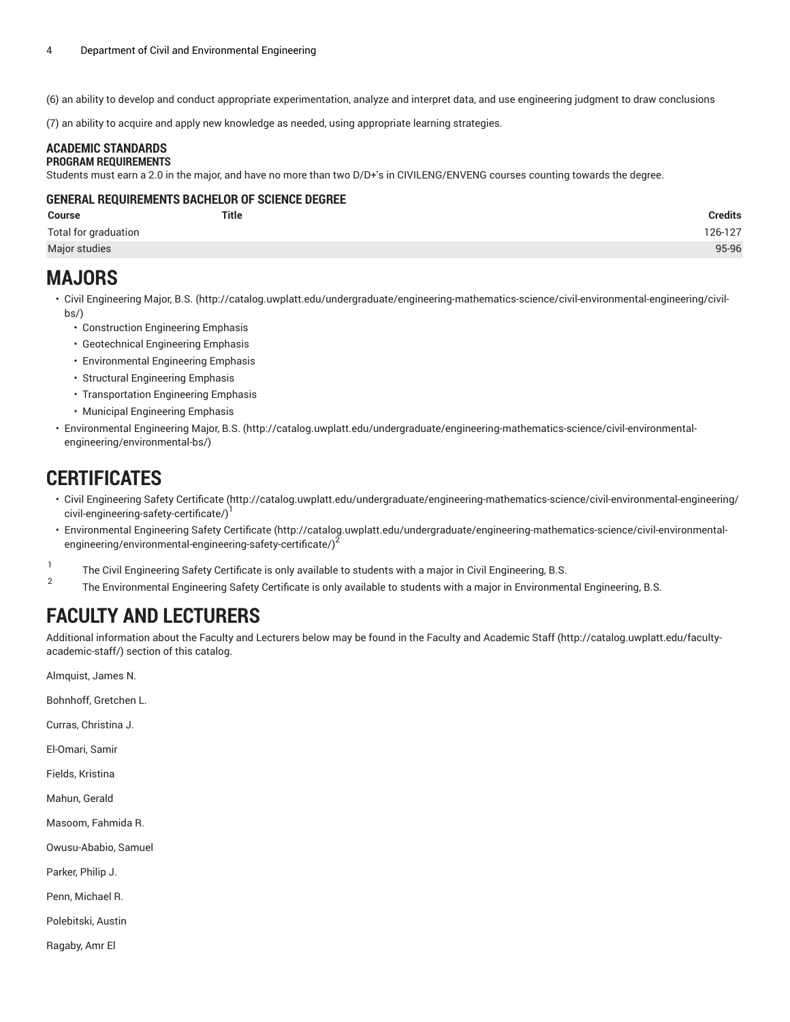(6) an ability to develop and conduct appropriate experimentation, analyze and interpret data, and use engineering judgment to draw conclusions

(7) an ability to acquire and apply new knowledge as needed, using appropriate learning strategies.

#### **ACADEMIC STANDARDS PROGRAM REQUIREMENTS**

Students must earn a 2.0 in the major, and have no more than two D/D+'s in CIVILENG/ENVENG courses counting towards the degree.

### **GENERAL REQUIREMENTS BACHELOR OF SCIENCE DEGREE**

| Course               | <b>Title</b> | <b>Credits</b> |
|----------------------|--------------|----------------|
| Total for graduation |              | 126-127        |
| Major studies        |              | 95-96          |

### **MAJORS**

- Civil [Engineering](http://catalog.uwplatt.edu/undergraduate/engineering-mathematics-science/civil-environmental-engineering/civil-bs/) Major, B.S. [\(http://catalog.uwplatt.edu/undergraduate/engineering-mathematics-science/civil-environmental-engineering/civil](http://catalog.uwplatt.edu/undergraduate/engineering-mathematics-science/civil-environmental-engineering/civil-bs/)[bs/](http://catalog.uwplatt.edu/undergraduate/engineering-mathematics-science/civil-environmental-engineering/civil-bs/))
	- Construction Engineering Emphasis
	- Geotechnical Engineering Emphasis
	- Environmental Engineering Emphasis
	- Structural Engineering Emphasis
	- Transportation Engineering Emphasis
	- Municipal Engineering Emphasis
- [Environmental](http://catalog.uwplatt.edu/undergraduate/engineering-mathematics-science/civil-environmental-engineering/environmental-bs/) Engineering Major, B.S. [\(http://catalog.uwplatt.edu/undergraduate/engineering-mathematics-science/civil-environmental](http://catalog.uwplatt.edu/undergraduate/engineering-mathematics-science/civil-environmental-engineering/environmental-bs/)[engineering/environmental-bs/](http://catalog.uwplatt.edu/undergraduate/engineering-mathematics-science/civil-environmental-engineering/environmental-bs/))

### **CERTIFICATES**

- Civil [Engineering](http://catalog.uwplatt.edu/undergraduate/engineering-mathematics-science/civil-environmental-engineering/civil-engineering-safety-certificate/) Safety Certificate [\(http://catalog.uwplatt.edu/undergraduate/engineering-mathematics-science/civil-environmental-engineering/](http://catalog.uwplatt.edu/undergraduate/engineering-mathematics-science/civil-environmental-engineering/civil-engineering-safety-certificate/) [civil-engineering-safety-certificate/\)](http://catalog.uwplatt.edu/undergraduate/engineering-mathematics-science/civil-environmental-engineering/civil-engineering-safety-certificate/)<sup>1</sup>
- [Environmental](http://catalog.uwplatt.edu/undergraduate/engineering-mathematics-science/civil-environmental-engineering/environmental-engineering-safety-certificate/) Engineering Safety Certificate [\(http://catalog.uwplatt.edu/undergraduate/engineering-mathematics-science/civil-environmental](http://catalog.uwplatt.edu/undergraduate/engineering-mathematics-science/civil-environmental-engineering/environmental-engineering-safety-certificate/)[engineering/environmental-engineering-safety-certificate/](http://catalog.uwplatt.edu/undergraduate/engineering-mathematics-science/civil-environmental-engineering/environmental-engineering-safety-certificate/))<sup>2</sup>
- 1 The Civil Engineering Safety Certificate is only available to students with a major in Civil Engineering, B.S.
- $\overline{2}$ The Environmental Engineering Safety Certificate is only available to students with a major in Environmental Engineering, B.S.

## **FACULTY AND LECTURERS**

Additional information about the Faculty and Lecturers below may be found in the Faculty and [Academic](http://catalog.uwplatt.edu/faculty-academic-staff/) Staff ([http://catalog.uwplatt.edu/faculty](http://catalog.uwplatt.edu/faculty-academic-staff/)[academic-staff/](http://catalog.uwplatt.edu/faculty-academic-staff/)) section of this catalog.

Almquist, James N.

Bohnhoff, Gretchen L.

Curras, Christina J.

El-Omari, Samir

Fields, Kristina

Mahun, Gerald

Masoom, Fahmida R.

Owusu-Ababio, Samuel

Parker, Philip J.

Penn, Michael R.

Polebitski, Austin

Ragaby, Amr El